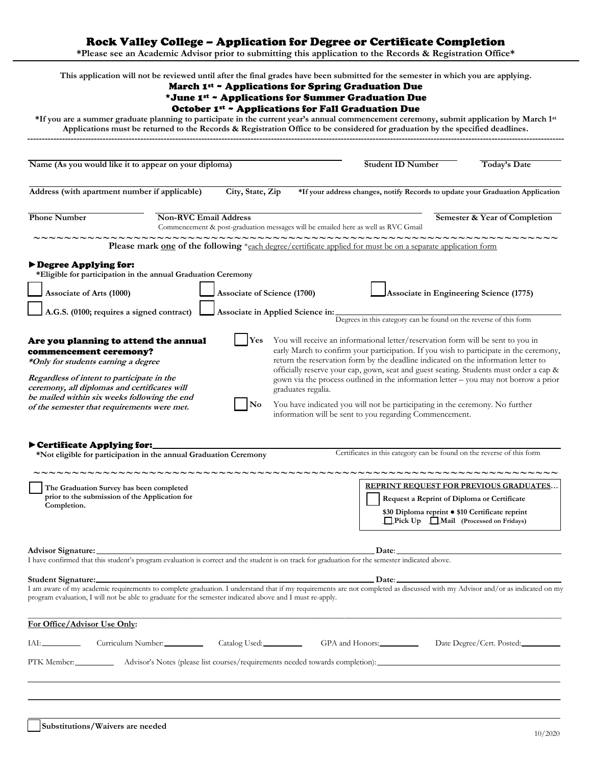Rock Valley College – Application for Degree or Certificate Completion

**\*Please see an Academic Advisor prior to submitting this application to the Records & Registration Office\***

|                                                                                                                                                                                                                                                                                                     |                                                                                                                                                                                                                               |                                    | March 1st ~ Applications for Spring Graduation Due<br>*June 1st ~ Applications for Summer Graduation Due<br>October 1st ~ Applications for Fall Graduation Due | This application will not be reviewed until after the final grades have been submitted for the semester in which you are applying.<br>*If you are a summer graduate planning to participate in the current year's annual commencement ceremony, submit application by March 1st                                                                                                                                                                                                                                                                                                               |                               |
|-----------------------------------------------------------------------------------------------------------------------------------------------------------------------------------------------------------------------------------------------------------------------------------------------------|-------------------------------------------------------------------------------------------------------------------------------------------------------------------------------------------------------------------------------|------------------------------------|----------------------------------------------------------------------------------------------------------------------------------------------------------------|-----------------------------------------------------------------------------------------------------------------------------------------------------------------------------------------------------------------------------------------------------------------------------------------------------------------------------------------------------------------------------------------------------------------------------------------------------------------------------------------------------------------------------------------------------------------------------------------------|-------------------------------|
|                                                                                                                                                                                                                                                                                                     |                                                                                                                                                                                                                               |                                    |                                                                                                                                                                | Applications must be returned to the Records & Registration Office to be considered for graduation by the specified deadlines.                                                                                                                                                                                                                                                                                                                                                                                                                                                                |                               |
| Name (As you would like it to appear on your diploma)                                                                                                                                                                                                                                               |                                                                                                                                                                                                                               |                                    |                                                                                                                                                                | <b>Student ID Number</b>                                                                                                                                                                                                                                                                                                                                                                                                                                                                                                                                                                      | <b>Today's Date</b>           |
| Address (with apartment number if applicable)                                                                                                                                                                                                                                                       |                                                                                                                                                                                                                               | City, State, Zip                   |                                                                                                                                                                | *If your address changes, notify Records to update your Graduation Application                                                                                                                                                                                                                                                                                                                                                                                                                                                                                                                |                               |
| <b>Phone Number</b>                                                                                                                                                                                                                                                                                 |                                                                                                                                                                                                                               | <b>Non-RVC Email Address</b>       | Commencement & post-graduation messages will be emailed here as well as RVC Gmail                                                                              |                                                                                                                                                                                                                                                                                                                                                                                                                                                                                                                                                                                               | Semester & Year of Completion |
|                                                                                                                                                                                                                                                                                                     |                                                                                                                                                                                                                               |                                    | ~~~~~~~~~~~~~~~~~~~~~~~~~~~~~~~                                                                                                                                | Please mark one of the following *each degree/certificate applied for must be on a separate application form                                                                                                                                                                                                                                                                                                                                                                                                                                                                                  |                               |
| Degree Applying for:<br>*Eligible for participation in the annual Graduation Ceremony<br>Associate of Arts (1000)                                                                                                                                                                                   |                                                                                                                                                                                                                               | <b>Associate of Science (1700)</b> |                                                                                                                                                                | Associate in Engineering Science (1775)                                                                                                                                                                                                                                                                                                                                                                                                                                                                                                                                                       |                               |
| A.G.S. (0100; requires a signed contract)                                                                                                                                                                                                                                                           |                                                                                                                                                                                                                               |                                    | Associate in Applied Science in:                                                                                                                               | Degrees in this category can be found on the reverse of this form                                                                                                                                                                                                                                                                                                                                                                                                                                                                                                                             |                               |
| Are you planning to attend the annual<br>commencement ceremony?<br>*Only for students earning a degree<br>Regardless of intent to participate in the<br>ceremony, all diplomas and certificates will<br>be mailed within six weeks following the end<br>of the semester that requirements were met. |                                                                                                                                                                                                                               | Yes<br>No                          | graduates regalia.                                                                                                                                             | You will receive an informational letter/reservation form will be sent to you in<br>early March to confirm your participation. If you wish to participate in the ceremony,<br>return the reservation form by the deadline indicated on the information letter to<br>officially reserve your cap, gown, seat and guest seating. Students must order a cap &<br>gown via the process outlined in the information letter - you may not borrow a prior<br>You have indicated you will not be participating in the ceremony. No further<br>information will be sent to you regarding Commencement. |                               |
| Certificate Applying for:<br>*Not eligible for participation in the annual Graduation Ceremony                                                                                                                                                                                                      |                                                                                                                                                                                                                               |                                    |                                                                                                                                                                | Certificates in this category can be found on the reverse of this form                                                                                                                                                                                                                                                                                                                                                                                                                                                                                                                        |                               |
| The Graduation Survey has been completed<br>prior to the submission of the Application for<br>Completion.                                                                                                                                                                                           |                                                                                                                                                                                                                               |                                    |                                                                                                                                                                | <b>REPRINT REQUEST FOR PREVIOUS GRADUATES</b><br>Request a Reprint of Diploma or Certificate<br>\$30 Diploma reprint . \$10 Certificate reprint<br>Pick Up Mail (Processed on Fridays)                                                                                                                                                                                                                                                                                                                                                                                                        |                               |
| Advisor Signature:<br>I have confirmed that this student's program evaluation is correct and the student is on track for graduation for the semester indicated above.                                                                                                                               | the control of the control of the control of the control of the control of the control of the control of the control of the control of the control of the control of the control of the control of the control of the control |                                    |                                                                                                                                                                |                                                                                                                                                                                                                                                                                                                                                                                                                                                                                                                                                                                               |                               |
| program evaluation, I will not be able to graduate for the semester indicated above and I must re-apply.                                                                                                                                                                                            |                                                                                                                                                                                                                               |                                    |                                                                                                                                                                | $\Box$ Date:<br>I am aware of my academic requirements to complete graduation. I understand that if my requirements are not completed as discussed with my Advisor and/or as indicated on my                                                                                                                                                                                                                                                                                                                                                                                                  |                               |
| For Office/Advisor Use Only:                                                                                                                                                                                                                                                                        |                                                                                                                                                                                                                               |                                    |                                                                                                                                                                |                                                                                                                                                                                                                                                                                                                                                                                                                                                                                                                                                                                               |                               |
|                                                                                                                                                                                                                                                                                                     | Curriculum Number: Catalog Used: Catalog Used:                                                                                                                                                                                |                                    |                                                                                                                                                                | GPA and Honors: ___________                                                                                                                                                                                                                                                                                                                                                                                                                                                                                                                                                                   | Date Degree/Cert. Posted:     |
|                                                                                                                                                                                                                                                                                                     |                                                                                                                                                                                                                               |                                    |                                                                                                                                                                |                                                                                                                                                                                                                                                                                                                                                                                                                                                                                                                                                                                               |                               |
|                                                                                                                                                                                                                                                                                                     |                                                                                                                                                                                                                               |                                    |                                                                                                                                                                |                                                                                                                                                                                                                                                                                                                                                                                                                                                                                                                                                                                               |                               |